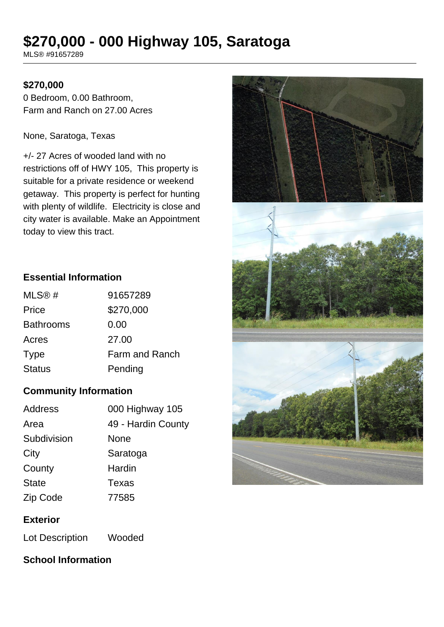# **\$270,000 - 000 Highway 105, Saratoga**

MLS® #91657289

#### **\$270,000**

0 Bedroom, 0.00 Bathroom, Farm and Ranch on 27.00 Acres

None, Saratoga, Texas

+/- 27 Acres of wooded land with no restrictions off of HWY 105, This property is suitable for a private residence or weekend getaway. This property is perfect for hunting with plenty of wildlife. Electricity is close and city water is available. Make an Appointment today to view this tract.

#### **Essential Information**

| MLS@#            | 91657289       |
|------------------|----------------|
| Price            | \$270,000      |
| <b>Bathrooms</b> | 0.00           |
| Acres            | 27.00          |
| <b>Type</b>      | Farm and Ranch |
| <b>Status</b>    | Pending        |

# **Community Information**

| <b>Address</b> | 000 Highway 105    |
|----------------|--------------------|
| Area           | 49 - Hardin County |
| Subdivision    | None               |
| City           | Saratoga           |
| County         | Hardin             |
| <b>State</b>   | Texas              |
| Zip Code       | 77585              |

#### **Exterior**

Lot Description Wooded

#### **School Information**